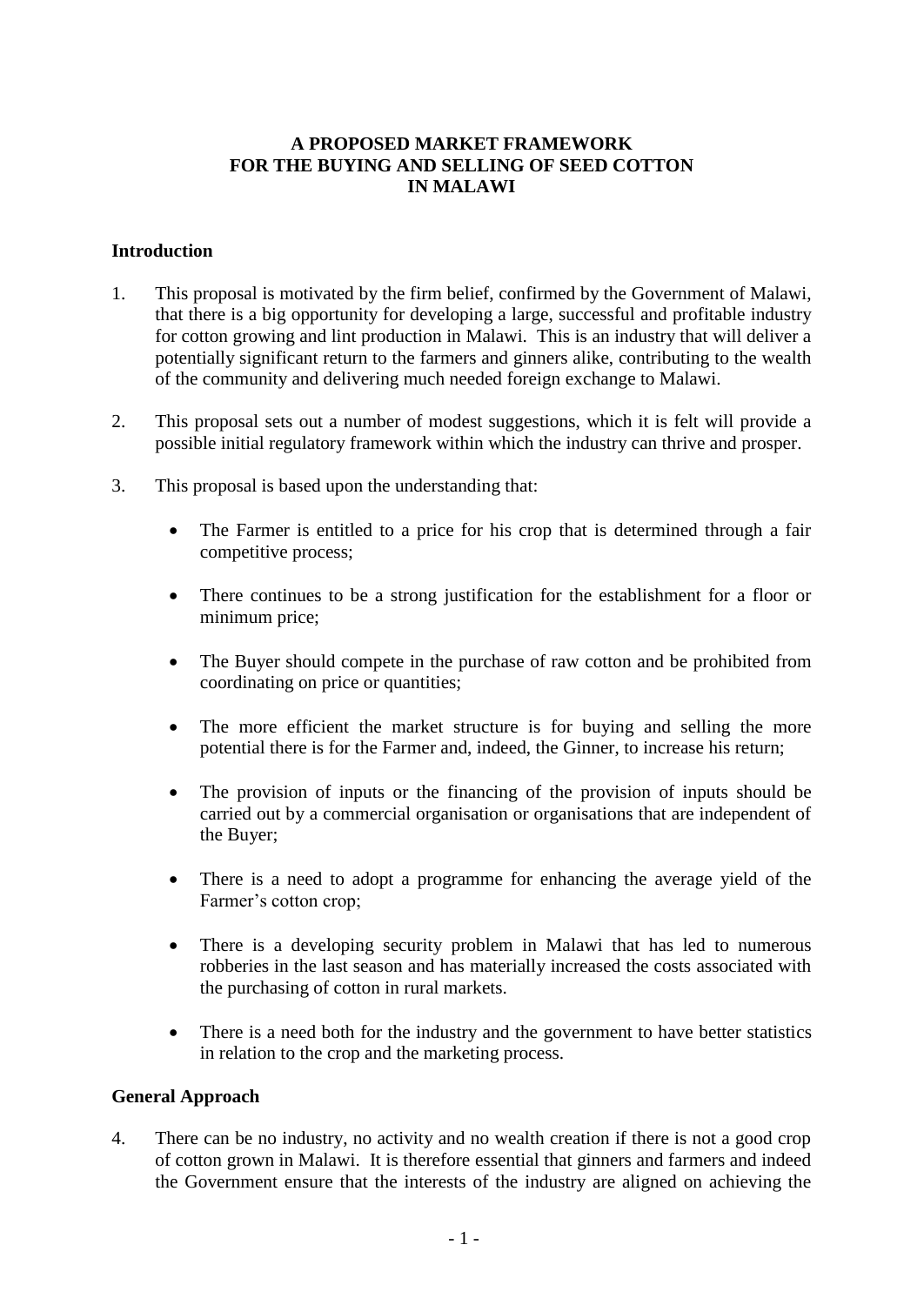### **A PROPOSED MARKET FRAMEWORK FOR THE BUYING AND SELLING OF SEED COTTON IN MALAWI**

#### **Introduction**

- 1. This proposal is motivated by the firm belief, confirmed by the Government of Malawi, that there is a big opportunity for developing a large, successful and profitable industry for cotton growing and lint production in Malawi. This is an industry that will deliver a potentially significant return to the farmers and ginners alike, contributing to the wealth of the community and delivering much needed foreign exchange to Malawi.
- 2. This proposal sets out a number of modest suggestions, which it is felt will provide a possible initial regulatory framework within which the industry can thrive and prosper.
- 3. This proposal is based upon the understanding that:
	- The Farmer is entitled to a price for his crop that is determined through a fair competitive process;
	- There continues to be a strong justification for the establishment for a floor or minimum price;
	- The Buyer should compete in the purchase of raw cotton and be prohibited from coordinating on price or quantities;
	- The more efficient the market structure is for buying and selling the more potential there is for the Farmer and, indeed, the Ginner, to increase his return;
	- The provision of inputs or the financing of the provision of inputs should be carried out by a commercial organisation or organisations that are independent of the Buyer;
	- There is a need to adopt a programme for enhancing the average yield of the Farmer's cotton crop;
	- There is a developing security problem in Malawi that has led to numerous robberies in the last season and has materially increased the costs associated with the purchasing of cotton in rural markets.
	- There is a need both for the industry and the government to have better statistics in relation to the crop and the marketing process.

#### **General Approach**

4. There can be no industry, no activity and no wealth creation if there is not a good crop of cotton grown in Malawi. It is therefore essential that ginners and farmers and indeed the Government ensure that the interests of the industry are aligned on achieving the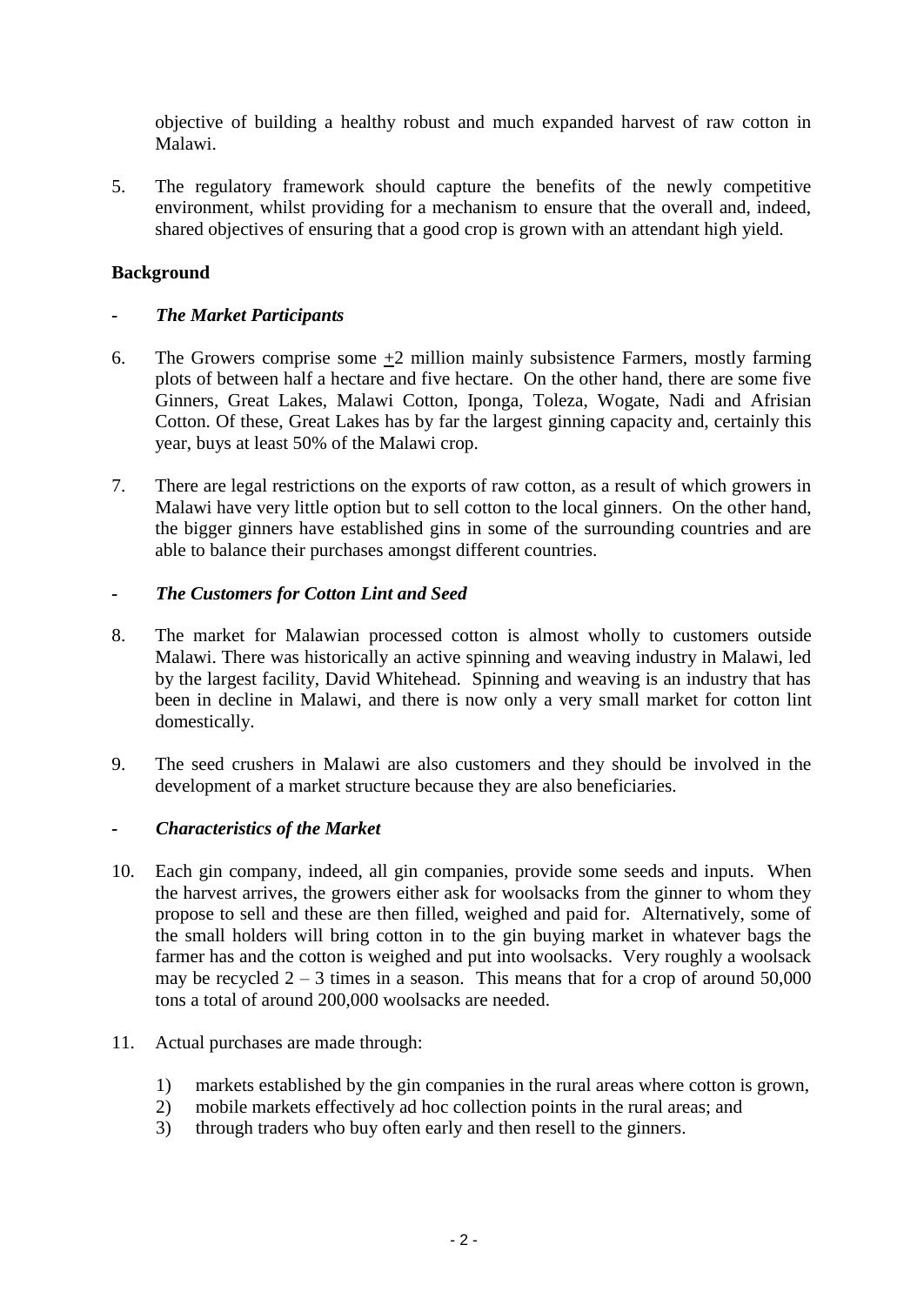objective of building a healthy robust and much expanded harvest of raw cotton in Malawi.

5. The regulatory framework should capture the benefits of the newly competitive environment, whilst providing for a mechanism to ensure that the overall and, indeed, shared objectives of ensuring that a good crop is grown with an attendant high yield.

# **Background**

# *- The Market Participants*

- 6. The Growers comprise some  $+2$  million mainly subsistence Farmers, mostly farming plots of between half a hectare and five hectare. On the other hand, there are some five Ginners, Great Lakes, Malawi Cotton, Iponga, Toleza, Wogate, Nadi and Afrisian Cotton. Of these, Great Lakes has by far the largest ginning capacity and, certainly this year, buys at least 50% of the Malawi crop.
- 7. There are legal restrictions on the exports of raw cotton, as a result of which growers in Malawi have very little option but to sell cotton to the local ginners. On the other hand, the bigger ginners have established gins in some of the surrounding countries and are able to balance their purchases amongst different countries.

# *- The Customers for Cotton Lint and Seed*

- 8. The market for Malawian processed cotton is almost wholly to customers outside Malawi. There was historically an active spinning and weaving industry in Malawi, led by the largest facility, David Whitehead. Spinning and weaving is an industry that has been in decline in Malawi, and there is now only a very small market for cotton lint domestically.
- 9. The seed crushers in Malawi are also customers and they should be involved in the development of a market structure because they are also beneficiaries.

### *- Characteristics of the Market*

- 10. Each gin company, indeed, all gin companies, provide some seeds and inputs. When the harvest arrives, the growers either ask for woolsacks from the ginner to whom they propose to sell and these are then filled, weighed and paid for. Alternatively, some of the small holders will bring cotton in to the gin buying market in whatever bags the farmer has and the cotton is weighed and put into woolsacks. Very roughly a woolsack may be recycled  $2 - 3$  times in a season. This means that for a crop of around 50,000 tons a total of around 200,000 woolsacks are needed.
- 11. Actual purchases are made through:
	- 1) markets established by the gin companies in the rural areas where cotton is grown,
	- 2) mobile markets effectively ad hoc collection points in the rural areas; and
	- 3) through traders who buy often early and then resell to the ginners.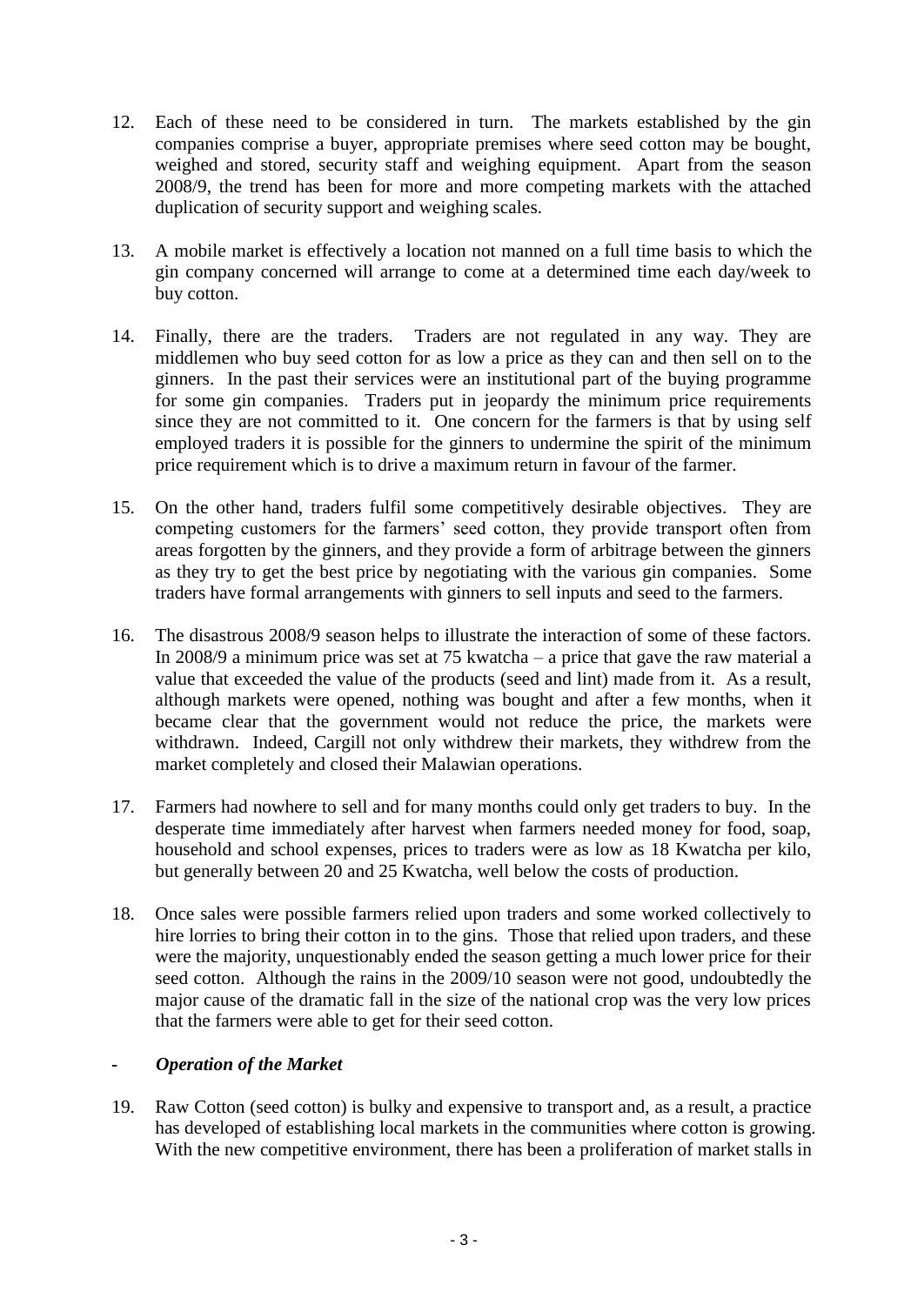- 12. Each of these need to be considered in turn. The markets established by the gin companies comprise a buyer, appropriate premises where seed cotton may be bought, weighed and stored, security staff and weighing equipment. Apart from the season 2008/9, the trend has been for more and more competing markets with the attached duplication of security support and weighing scales.
- 13. A mobile market is effectively a location not manned on a full time basis to which the gin company concerned will arrange to come at a determined time each day/week to buy cotton.
- 14. Finally, there are the traders. Traders are not regulated in any way. They are middlemen who buy seed cotton for as low a price as they can and then sell on to the ginners. In the past their services were an institutional part of the buying programme for some gin companies. Traders put in jeopardy the minimum price requirements since they are not committed to it. One concern for the farmers is that by using self employed traders it is possible for the ginners to undermine the spirit of the minimum price requirement which is to drive a maximum return in favour of the farmer.
- 15. On the other hand, traders fulfil some competitively desirable objectives. They are competing customers for the farmers' seed cotton, they provide transport often from areas forgotten by the ginners, and they provide a form of arbitrage between the ginners as they try to get the best price by negotiating with the various gin companies. Some traders have formal arrangements with ginners to sell inputs and seed to the farmers.
- 16. The disastrous 2008/9 season helps to illustrate the interaction of some of these factors. In 2008/9 a minimum price was set at 75 kwatcha – a price that gave the raw material a value that exceeded the value of the products (seed and lint) made from it. As a result, although markets were opened, nothing was bought and after a few months, when it became clear that the government would not reduce the price, the markets were withdrawn. Indeed, Cargill not only withdrew their markets, they withdrew from the market completely and closed their Malawian operations.
- 17. Farmers had nowhere to sell and for many months could only get traders to buy. In the desperate time immediately after harvest when farmers needed money for food, soap, household and school expenses, prices to traders were as low as 18 Kwatcha per kilo, but generally between 20 and 25 Kwatcha, well below the costs of production.
- 18. Once sales were possible farmers relied upon traders and some worked collectively to hire lorries to bring their cotton in to the gins. Those that relied upon traders, and these were the majority, unquestionably ended the season getting a much lower price for their seed cotton. Although the rains in the 2009/10 season were not good, undoubtedly the major cause of the dramatic fall in the size of the national crop was the very low prices that the farmers were able to get for their seed cotton.

### *- Operation of the Market*

19. Raw Cotton (seed cotton) is bulky and expensive to transport and, as a result, a practice has developed of establishing local markets in the communities where cotton is growing. With the new competitive environment, there has been a proliferation of market stalls in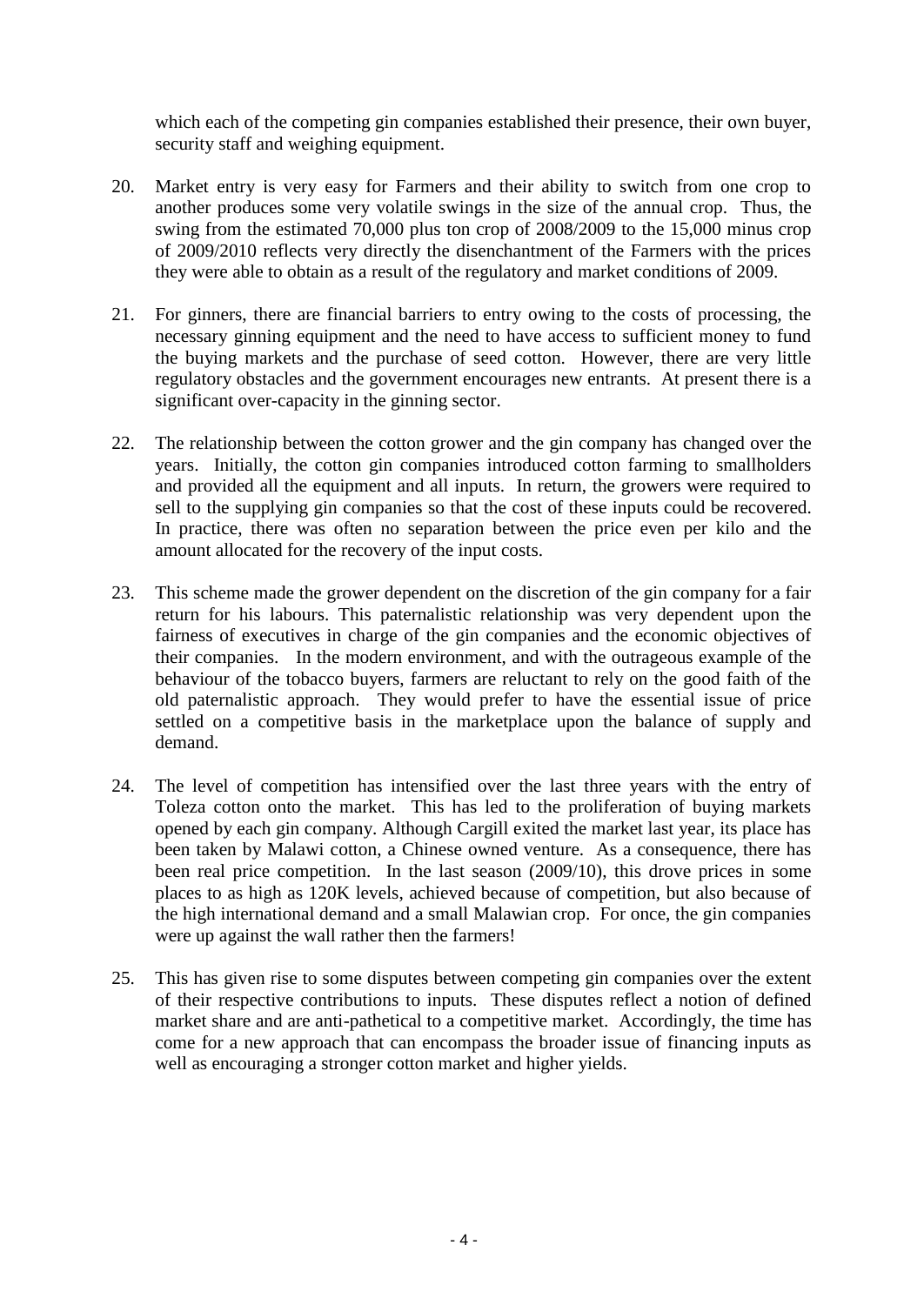which each of the competing gin companies established their presence, their own buyer, security staff and weighing equipment.

- 20. Market entry is very easy for Farmers and their ability to switch from one crop to another produces some very volatile swings in the size of the annual crop. Thus, the swing from the estimated 70,000 plus ton crop of 2008/2009 to the 15,000 minus crop of 2009/2010 reflects very directly the disenchantment of the Farmers with the prices they were able to obtain as a result of the regulatory and market conditions of 2009.
- 21. For ginners, there are financial barriers to entry owing to the costs of processing, the necessary ginning equipment and the need to have access to sufficient money to fund the buying markets and the purchase of seed cotton. However, there are very little regulatory obstacles and the government encourages new entrants. At present there is a significant over-capacity in the ginning sector.
- 22. The relationship between the cotton grower and the gin company has changed over the years. Initially, the cotton gin companies introduced cotton farming to smallholders and provided all the equipment and all inputs. In return, the growers were required to sell to the supplying gin companies so that the cost of these inputs could be recovered. In practice, there was often no separation between the price even per kilo and the amount allocated for the recovery of the input costs.
- 23. This scheme made the grower dependent on the discretion of the gin company for a fair return for his labours. This paternalistic relationship was very dependent upon the fairness of executives in charge of the gin companies and the economic objectives of their companies. In the modern environment, and with the outrageous example of the behaviour of the tobacco buyers, farmers are reluctant to rely on the good faith of the old paternalistic approach. They would prefer to have the essential issue of price settled on a competitive basis in the marketplace upon the balance of supply and demand.
- 24. The level of competition has intensified over the last three years with the entry of Toleza cotton onto the market. This has led to the proliferation of buying markets opened by each gin company. Although Cargill exited the market last year, its place has been taken by Malawi cotton, a Chinese owned venture. As a consequence, there has been real price competition. In the last season (2009/10), this drove prices in some places to as high as 120K levels, achieved because of competition, but also because of the high international demand and a small Malawian crop. For once, the gin companies were up against the wall rather then the farmers!
- 25. This has given rise to some disputes between competing gin companies over the extent of their respective contributions to inputs. These disputes reflect a notion of defined market share and are anti-pathetical to a competitive market. Accordingly, the time has come for a new approach that can encompass the broader issue of financing inputs as well as encouraging a stronger cotton market and higher yields.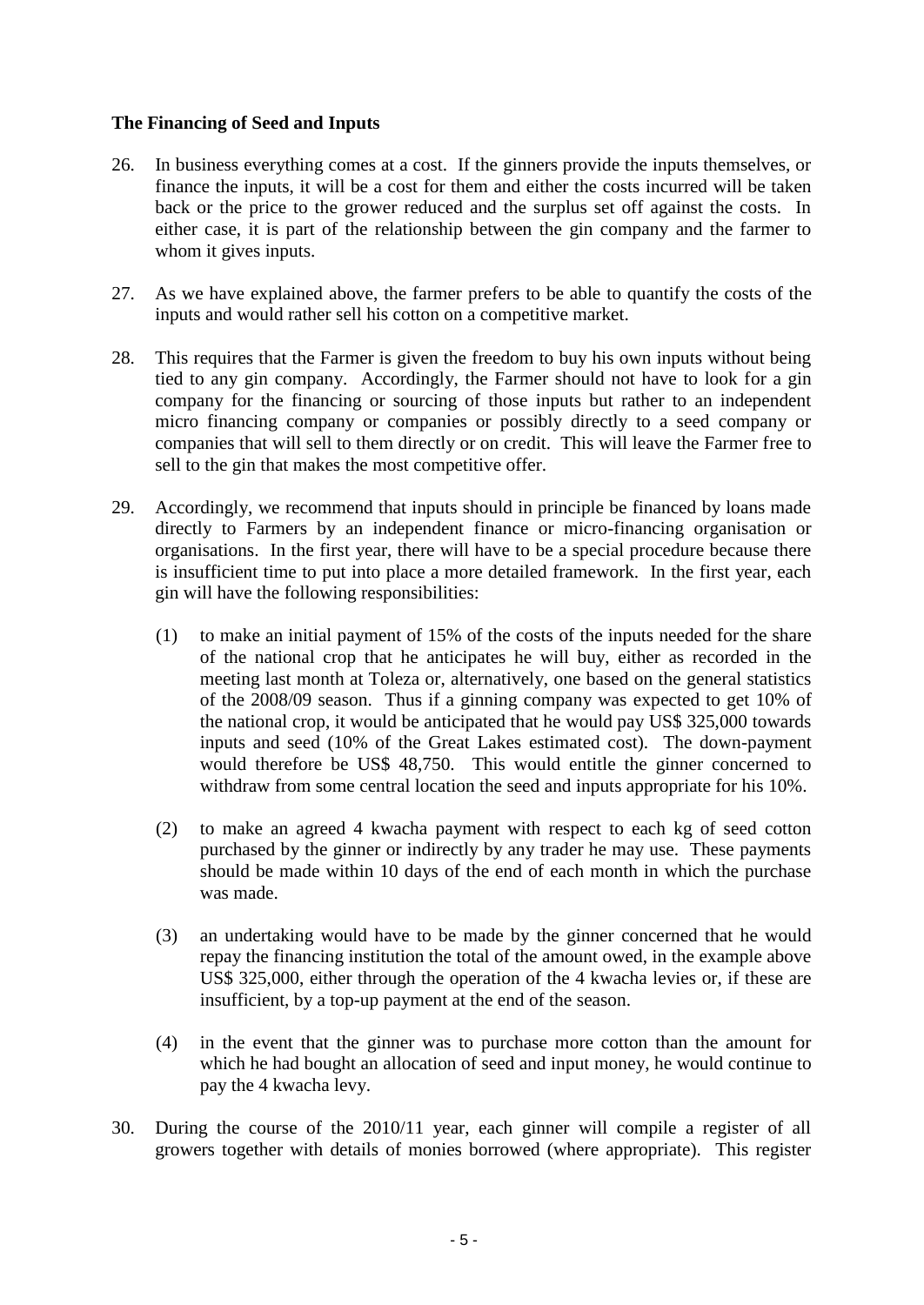### **The Financing of Seed and Inputs**

- 26. In business everything comes at a cost. If the ginners provide the inputs themselves, or finance the inputs, it will be a cost for them and either the costs incurred will be taken back or the price to the grower reduced and the surplus set off against the costs. In either case, it is part of the relationship between the gin company and the farmer to whom it gives inputs.
- 27. As we have explained above, the farmer prefers to be able to quantify the costs of the inputs and would rather sell his cotton on a competitive market.
- 28. This requires that the Farmer is given the freedom to buy his own inputs without being tied to any gin company. Accordingly, the Farmer should not have to look for a gin company for the financing or sourcing of those inputs but rather to an independent micro financing company or companies or possibly directly to a seed company or companies that will sell to them directly or on credit. This will leave the Farmer free to sell to the gin that makes the most competitive offer.
- 29. Accordingly, we recommend that inputs should in principle be financed by loans made directly to Farmers by an independent finance or micro-financing organisation or organisations. In the first year, there will have to be a special procedure because there is insufficient time to put into place a more detailed framework. In the first year, each gin will have the following responsibilities:
	- (1) to make an initial payment of 15% of the costs of the inputs needed for the share of the national crop that he anticipates he will buy, either as recorded in the meeting last month at Toleza or, alternatively, one based on the general statistics of the 2008/09 season. Thus if a ginning company was expected to get 10% of the national crop, it would be anticipated that he would pay US\$ 325,000 towards inputs and seed (10% of the Great Lakes estimated cost). The down-payment would therefore be US\$ 48,750. This would entitle the ginner concerned to withdraw from some central location the seed and inputs appropriate for his 10%.
	- (2) to make an agreed 4 kwacha payment with respect to each kg of seed cotton purchased by the ginner or indirectly by any trader he may use. These payments should be made within 10 days of the end of each month in which the purchase was made.
	- (3) an undertaking would have to be made by the ginner concerned that he would repay the financing institution the total of the amount owed, in the example above US\$ 325,000, either through the operation of the 4 kwacha levies or, if these are insufficient, by a top-up payment at the end of the season.
	- (4) in the event that the ginner was to purchase more cotton than the amount for which he had bought an allocation of seed and input money, he would continue to pay the 4 kwacha levy.
- 30. During the course of the 2010/11 year, each ginner will compile a register of all growers together with details of monies borrowed (where appropriate). This register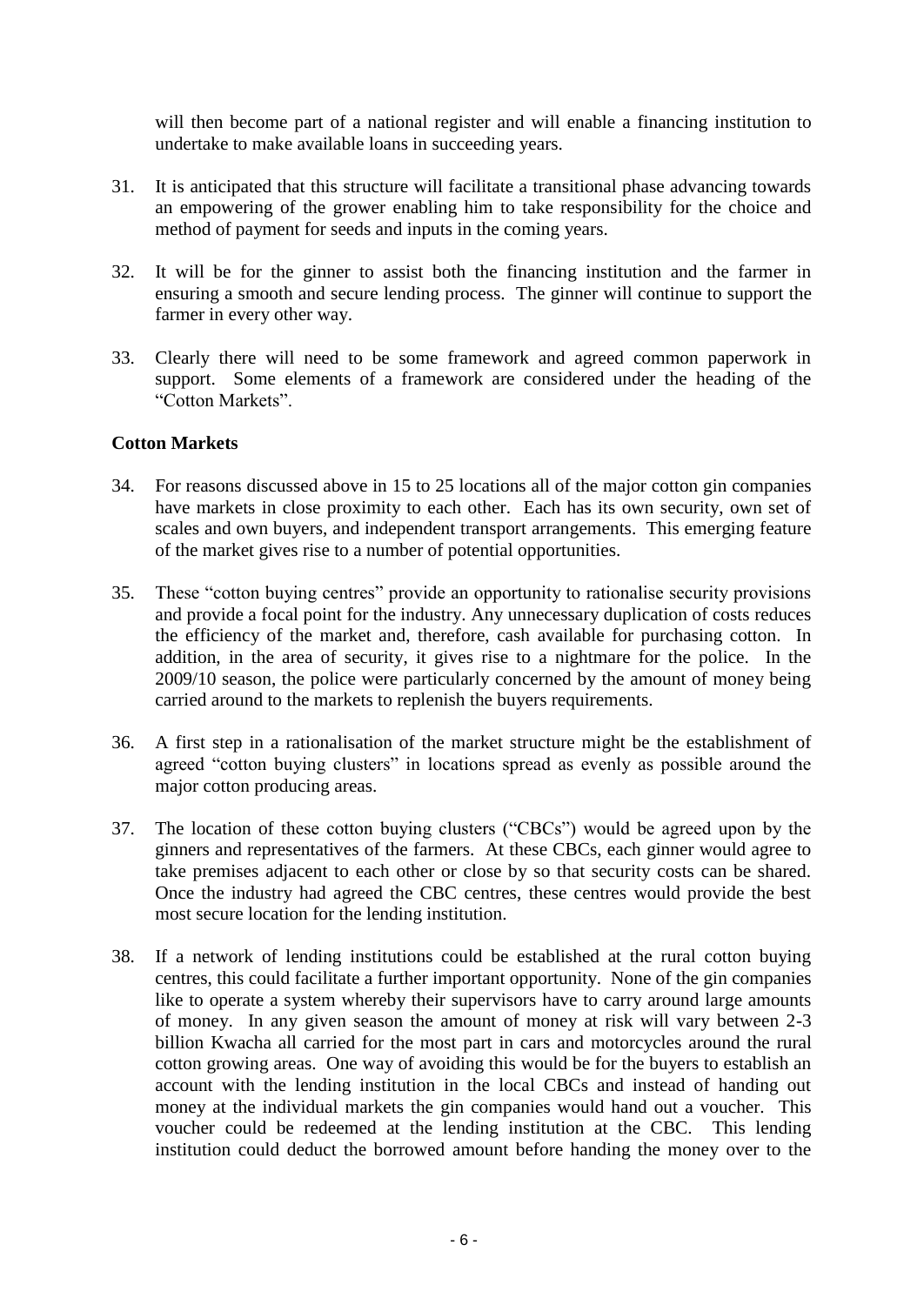will then become part of a national register and will enable a financing institution to undertake to make available loans in succeeding years.

- 31. It is anticipated that this structure will facilitate a transitional phase advancing towards an empowering of the grower enabling him to take responsibility for the choice and method of payment for seeds and inputs in the coming years.
- 32. It will be for the ginner to assist both the financing institution and the farmer in ensuring a smooth and secure lending process. The ginner will continue to support the farmer in every other way.
- 33. Clearly there will need to be some framework and agreed common paperwork in support. Some elements of a framework are considered under the heading of the "Cotton Markets".

#### **Cotton Markets**

- 34. For reasons discussed above in 15 to 25 locations all of the major cotton gin companies have markets in close proximity to each other. Each has its own security, own set of scales and own buyers, and independent transport arrangements. This emerging feature of the market gives rise to a number of potential opportunities.
- 35. These "cotton buying centres" provide an opportunity to rationalise security provisions and provide a focal point for the industry. Any unnecessary duplication of costs reduces the efficiency of the market and, therefore, cash available for purchasing cotton. In addition, in the area of security, it gives rise to a nightmare for the police. In the 2009/10 season, the police were particularly concerned by the amount of money being carried around to the markets to replenish the buyers requirements.
- 36. A first step in a rationalisation of the market structure might be the establishment of agreed "cotton buying clusters" in locations spread as evenly as possible around the major cotton producing areas.
- 37. The location of these cotton buying clusters ("CBCs") would be agreed upon by the ginners and representatives of the farmers. At these CBCs, each ginner would agree to take premises adjacent to each other or close by so that security costs can be shared. Once the industry had agreed the CBC centres, these centres would provide the best most secure location for the lending institution.
- 38. If a network of lending institutions could be established at the rural cotton buying centres, this could facilitate a further important opportunity. None of the gin companies like to operate a system whereby their supervisors have to carry around large amounts of money. In any given season the amount of money at risk will vary between 2-3 billion Kwacha all carried for the most part in cars and motorcycles around the rural cotton growing areas. One way of avoiding this would be for the buyers to establish an account with the lending institution in the local CBCs and instead of handing out money at the individual markets the gin companies would hand out a voucher. This voucher could be redeemed at the lending institution at the CBC. This lending institution could deduct the borrowed amount before handing the money over to the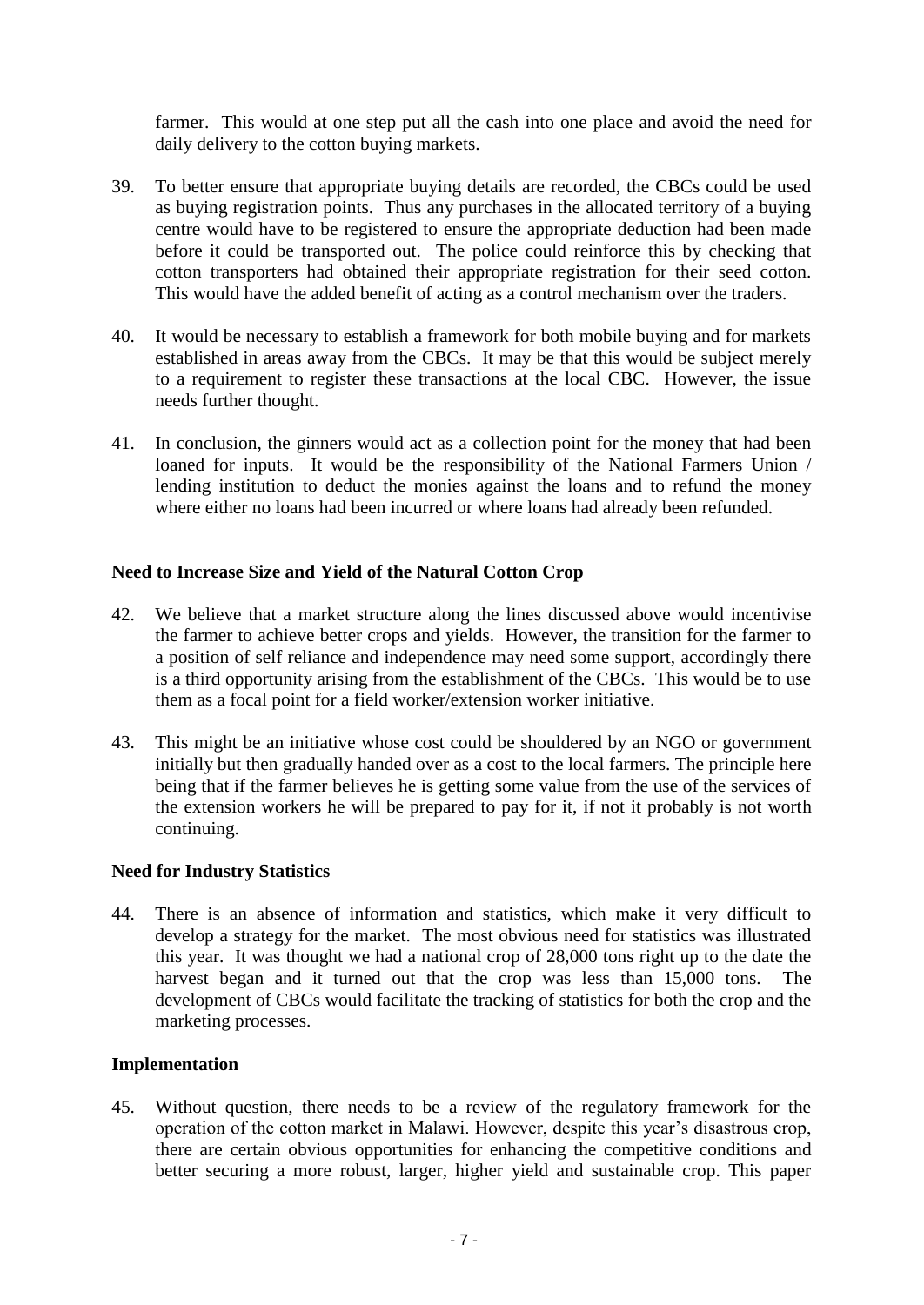farmer. This would at one step put all the cash into one place and avoid the need for daily delivery to the cotton buying markets.

- 39. To better ensure that appropriate buying details are recorded, the CBCs could be used as buying registration points. Thus any purchases in the allocated territory of a buying centre would have to be registered to ensure the appropriate deduction had been made before it could be transported out. The police could reinforce this by checking that cotton transporters had obtained their appropriate registration for their seed cotton. This would have the added benefit of acting as a control mechanism over the traders.
- 40. It would be necessary to establish a framework for both mobile buying and for markets established in areas away from the CBCs. It may be that this would be subject merely to a requirement to register these transactions at the local CBC. However, the issue needs further thought.
- 41. In conclusion, the ginners would act as a collection point for the money that had been loaned for inputs. It would be the responsibility of the National Farmers Union / lending institution to deduct the monies against the loans and to refund the money where either no loans had been incurred or where loans had already been refunded.

### **Need to Increase Size and Yield of the Natural Cotton Crop**

- 42. We believe that a market structure along the lines discussed above would incentivise the farmer to achieve better crops and yields. However, the transition for the farmer to a position of self reliance and independence may need some support, accordingly there is a third opportunity arising from the establishment of the CBCs. This would be to use them as a focal point for a field worker/extension worker initiative.
- 43. This might be an initiative whose cost could be shouldered by an NGO or government initially but then gradually handed over as a cost to the local farmers. The principle here being that if the farmer believes he is getting some value from the use of the services of the extension workers he will be prepared to pay for it, if not it probably is not worth continuing.

### **Need for Industry Statistics**

44. There is an absence of information and statistics, which make it very difficult to develop a strategy for the market. The most obvious need for statistics was illustrated this year. It was thought we had a national crop of 28,000 tons right up to the date the harvest began and it turned out that the crop was less than 15,000 tons. The development of CBCs would facilitate the tracking of statistics for both the crop and the marketing processes.

### **Implementation**

45. Without question, there needs to be a review of the regulatory framework for the operation of the cotton market in Malawi. However, despite this year's disastrous crop, there are certain obvious opportunities for enhancing the competitive conditions and better securing a more robust, larger, higher yield and sustainable crop. This paper